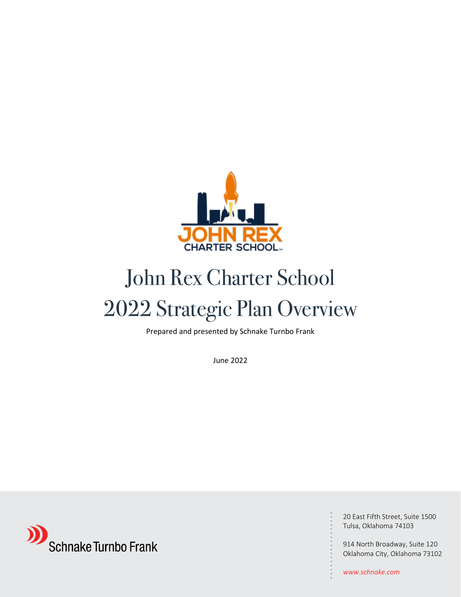

# John Rex Charter School 2022 Strategic Plan Overview

Prepared and presented by Schnake Turnbo Frank

June 2022



20 East Fifth Street, Suite 1500 Tulsa, Oklahoma 74103

914 North Broadway, Suite 120 Oklahoma City, Oklahoma 73102

*www.schnake.com*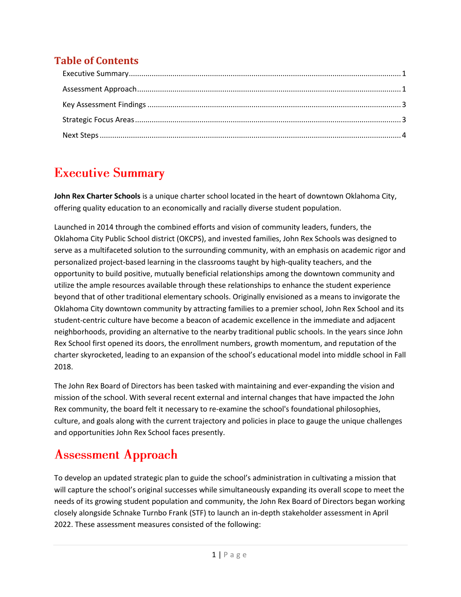### **Table of Contents**

### <span id="page-1-0"></span>**Executive Summary**

**John Rex Charter Schools** is a unique charter school located in the heart of downtown Oklahoma City, offering quality education to an economically and racially diverse student population.

Launched in 2014 through the combined efforts and vision of community leaders, funders, the Oklahoma City Public School district (OKCPS), and invested families, John Rex Schools was designed to serve as a multifaceted solution to the surrounding community, with an emphasis on academic rigor and personalized project-based learning in the classrooms taught by high-quality teachers, and the opportunity to build positive, mutually beneficial relationships among the downtown community and utilize the ample resources available through these relationships to enhance the student experience beyond that of other traditional elementary schools. Originally envisioned as a means to invigorate the Oklahoma City downtown community by attracting families to a premier school, John Rex School and its student-centric culture have become a beacon of academic excellence in the immediate and adjacent neighborhoods, providing an alternative to the nearby traditional public schools. In the years since John Rex School first opened its doors, the enrollment numbers, growth momentum, and reputation of the charter skyrocketed, leading to an expansion of the school's educational model into middle school in Fall 2018.

The John Rex Board of Directors has been tasked with maintaining and ever-expanding the vision and mission of the school. With several recent external and internal changes that have impacted the John Rex community, the board felt it necessary to re-examine the school's foundational philosophies, culture, and goals along with the current trajectory and policies in place to gauge the unique challenges and opportunities John Rex School faces presently.

### <span id="page-1-1"></span>**Assessment Approach**

To develop an updated strategic plan to guide the school's administration in cultivating a mission that will capture the school's original successes while simultaneously expanding its overall scope to meet the needs of its growing student population and community, the John Rex Board of Directors began working closely alongside Schnake Turnbo Frank (STF) to launch an in-depth stakeholder assessment in April 2022. These assessment measures consisted of the following: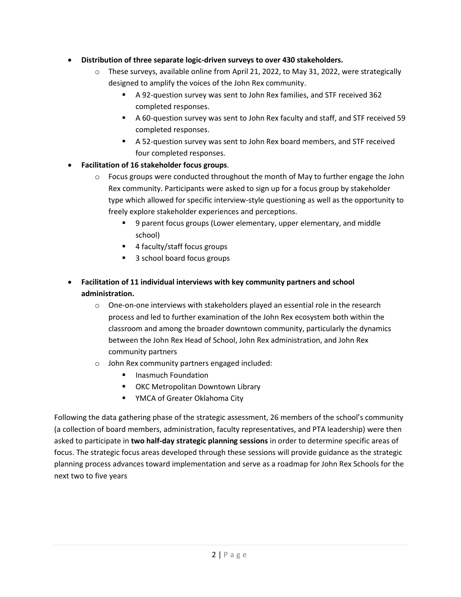#### • **Distribution of three separate logic-driven surveys to over 430 stakeholders.**

- $\circ$  These surveys, available online from April 21, 2022, to May 31, 2022, were strategically designed to amplify the voices of the John Rex community.
	- A 92-question survey was sent to John Rex families, and STF received 362 completed responses.
	- A 60-question survey was sent to John Rex faculty and staff, and STF received 59 completed responses.
	- A 52-question survey was sent to John Rex board members, and STF received four completed responses.

#### • **Facilitation of 16 stakeholder focus groups**.

- $\circ$  Focus groups were conducted throughout the month of May to further engage the John Rex community. Participants were asked to sign up for a focus group by stakeholder type which allowed for specific interview-style questioning as well as the opportunity to freely explore stakeholder experiences and perceptions.
	- 9 parent focus groups (Lower elementary, upper elementary, and middle school)
	- 4 faculty/staff focus groups
	- 3 school board focus groups
- **Facilitation of 11 individual interviews with key community partners and school administration.**
	- $\circ$  One-on-one interviews with stakeholders played an essential role in the research process and led to further examination of the John Rex ecosystem both within the classroom and among the broader downtown community, particularly the dynamics between the John Rex Head of School, John Rex administration, and John Rex community partners
	- o John Rex community partners engaged included:
		- Inasmuch Foundation
		- OKC Metropolitan Downtown Library
		- YMCA of Greater Oklahoma City

Following the data gathering phase of the strategic assessment, 26 members of the school's community (a collection of board members, administration, faculty representatives, and PTA leadership) were then asked to participate in **two half-day strategic planning sessions** in order to determine specific areas of focus. The strategic focus areas developed through these sessions will provide guidance as the strategic planning process advances toward implementation and serve as a roadmap for John Rex Schools for the next two to five years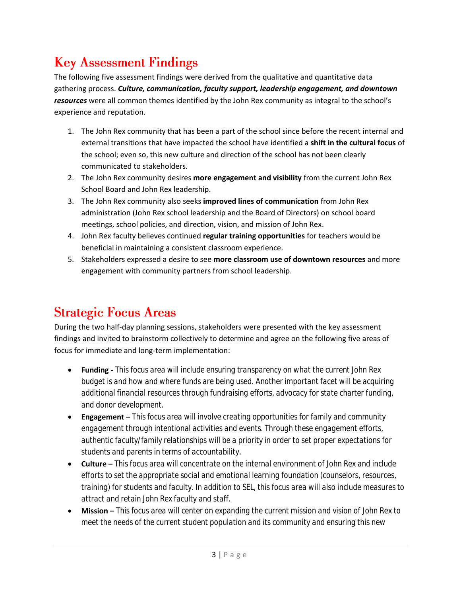## <span id="page-3-0"></span>**Key Assessment Findings**

The following five assessment findings were derived from the qualitative and quantitative data gathering process. *Culture, communication, faculty support, leadership engagement, and downtown resources* were all common themes identified by the John Rex community as integral to the school's experience and reputation.

- 1. The John Rex community that has been a part of the school since before the recent internal and external transitions that have impacted the school have identified a **shift in the cultural focus** of the school; even so, this new culture and direction of the school has not been clearly communicated to stakeholders.
- 2. The John Rex community desires **more engagement and visibility** from the current John Rex School Board and John Rex leadership.
- 3. The John Rex community also seeks **improved lines of communication** from John Rex administration (John Rex school leadership and the Board of Directors) on school board meetings, school policies, and direction, vision, and mission of John Rex.
- 4. John Rex faculty believes continued **regular training opportunities** for teachers would be beneficial in maintaining a consistent classroom experience.
- 5. Stakeholders expressed a desire to see **more classroom use of downtown resources** and more engagement with community partners from school leadership.

### <span id="page-3-1"></span>**Strategic Focus Areas**

During the two half-day planning sessions, stakeholders were presented with the key assessment findings and invited to brainstorm collectively to determine and agree on the following five areas of focus for immediate and long-term implementation:

- **Funding -** *This focus area will include ensuring transparency on what the current John Rex budget is and how and where funds are being used. Another important facet will be acquiring additional financial resources through fundraising efforts, advocacy for state charter funding, and donor development.*
- **Engagement –** *This focus area will involve creating opportunities for family and community engagement through intentional activities and events. Through these engagement efforts, authentic faculty/family relationships will be a priority in order to set proper expectations for students and parents in terms of accountability.*
- **Culture –** *This focus area will concentrate on the internal environment of John Rex and include efforts to set the appropriate social and emotional learning foundation (counselors, resources, training) for students and faculty. In addition to SEL, this focus area will also include measures to attract and retain John Rex faculty and staff.*
- **Mission –** *This focus area will center on expanding the current mission and vision of John Rex to meet the needs of the current student population and its community and ensuring this new*